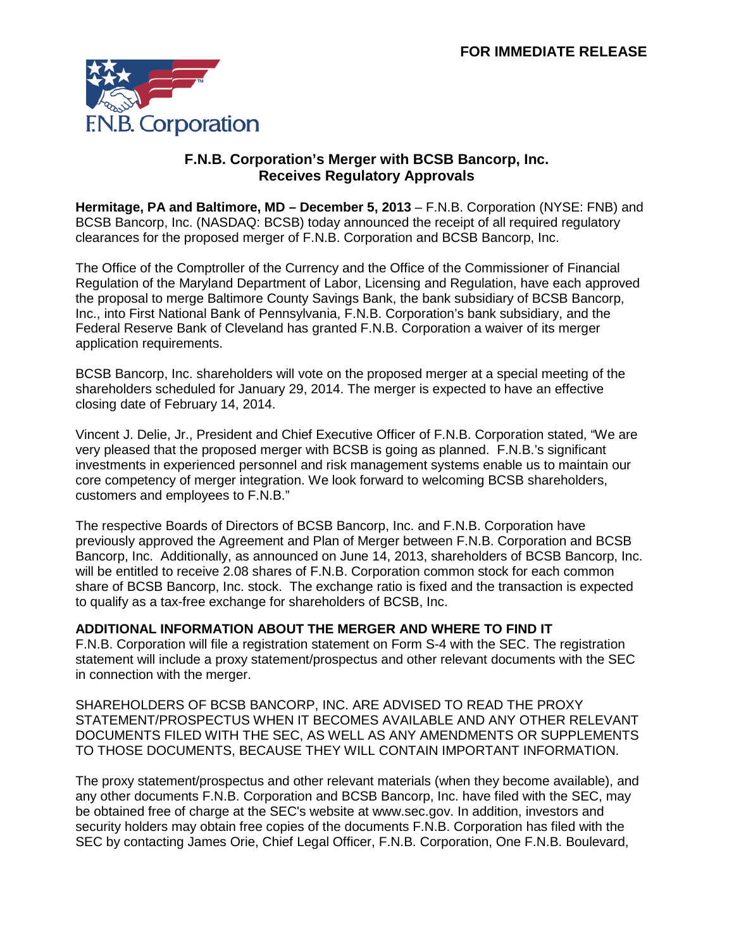

## **F.N.B. Corporation's Merger with BCSB Bancorp, Inc. Receives Regulatory Approvals**

**Hermitage, PA and Baltimore, MD – December 5, 2013** – F.N.B. Corporation (NYSE: FNB) and BCSB Bancorp, Inc. (NASDAQ: BCSB) today announced the receipt of all required regulatory clearances for the proposed merger of F.N.B. Corporation and BCSB Bancorp, Inc.

The Office of the Comptroller of the Currency and the Office of the Commissioner of Financial Regulation of the Maryland Department of Labor, Licensing and Regulation, have each approved the proposal to merge Baltimore County Savings Bank, the bank subsidiary of BCSB Bancorp, Inc., into First National Bank of Pennsylvania, F.N.B. Corporation's bank subsidiary, and the Federal Reserve Bank of Cleveland has granted F.N.B. Corporation a waiver of its merger application requirements.

BCSB Bancorp, Inc. shareholders will vote on the proposed merger at a special meeting of the shareholders scheduled for January 29, 2014. The merger is expected to have an effective closing date of February 14, 2014.

Vincent J. Delie, Jr., President and Chief Executive Officer of F.N.B. Corporation stated, "We are very pleased that the proposed merger with BCSB is going as planned. F.N.B.'s significant investments in experienced personnel and risk management systems enable us to maintain our core competency of merger integration. We look forward to welcoming BCSB shareholders, customers and employees to F.N.B."

The respective Boards of Directors of BCSB Bancorp, Inc. and F.N.B. Corporation have previously approved the Agreement and Plan of Merger between F.N.B. Corporation and BCSB Bancorp, Inc. Additionally, as announced on June 14, 2013, shareholders of BCSB Bancorp, Inc. will be entitled to receive 2.08 shares of F.N.B. Corporation common stock for each common share of BCSB Bancorp, Inc. stock. The exchange ratio is fixed and the transaction is expected to qualify as a tax-free exchange for shareholders of BCSB, Inc.

# **ADDITIONAL INFORMATION ABOUT THE MERGER AND WHERE TO FIND IT**

F.N.B. Corporation will file a registration statement on Form S-4 with the SEC. The registration statement will include a proxy statement/prospectus and other relevant documents with the SEC in connection with the merger.

SHAREHOLDERS OF BCSB BANCORP, INC. ARE ADVISED TO READ THE PROXY STATEMENT/PROSPECTUS WHEN IT BECOMES AVAILABLE AND ANY OTHER RELEVANT DOCUMENTS FILED WITH THE SEC, AS WELL AS ANY AMENDMENTS OR SUPPLEMENTS TO THOSE DOCUMENTS, BECAUSE THEY WILL CONTAIN IMPORTANT INFORMATION.

The proxy statement/prospectus and other relevant materials (when they become available), and any other documents F.N.B. Corporation and BCSB Bancorp, Inc. have filed with the SEC, may be obtained free of charge at the SEC's website at www.sec.gov. In addition, investors and security holders may obtain free copies of the documents F.N.B. Corporation has filed with the SEC by contacting James Orie, Chief Legal Officer, F.N.B. Corporation, One F.N.B. Boulevard,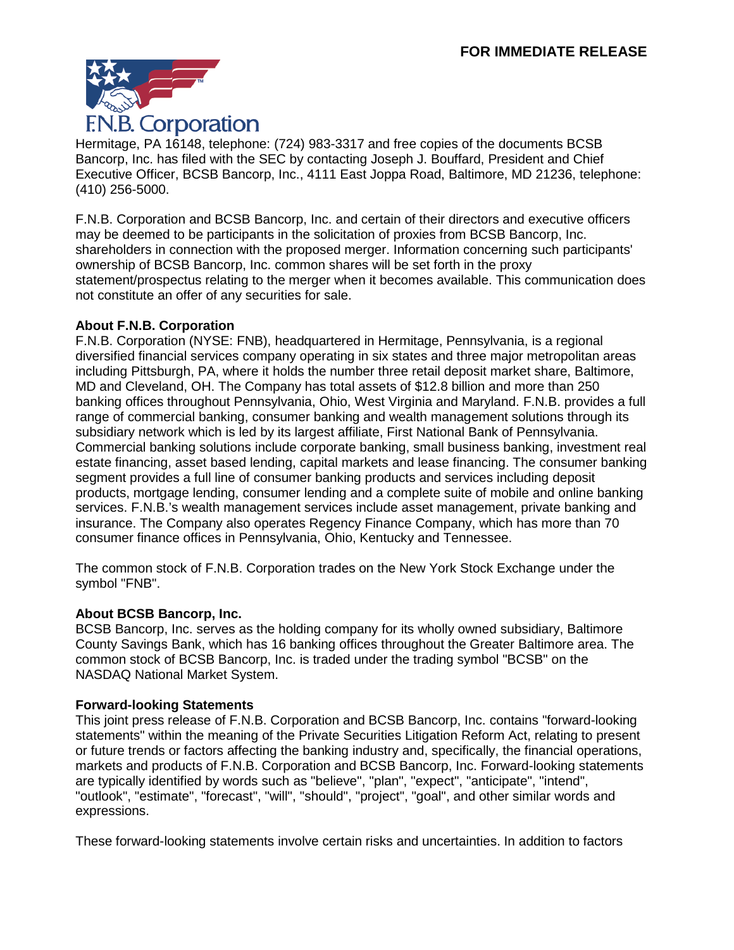

Hermitage, PA 16148, telephone: (724) 983-3317 and free copies of the documents BCSB Bancorp, Inc. has filed with the SEC by contacting Joseph J. Bouffard, President and Chief Executive Officer, BCSB Bancorp, Inc., 4111 East Joppa Road, Baltimore, MD 21236, telephone: (410) 256-5000.

F.N.B. Corporation and BCSB Bancorp, Inc. and certain of their directors and executive officers may be deemed to be participants in the solicitation of proxies from BCSB Bancorp, Inc. shareholders in connection with the proposed merger. Information concerning such participants' ownership of BCSB Bancorp, Inc. common shares will be set forth in the proxy statement/prospectus relating to the merger when it becomes available. This communication does not constitute an offer of any securities for sale.

## **About F.N.B. Corporation**

F.N.B. Corporation (NYSE: FNB), headquartered in Hermitage, Pennsylvania, is a regional diversified financial services company operating in six states and three major metropolitan areas including Pittsburgh, PA, where it holds the number three retail deposit market share, Baltimore, MD and Cleveland, OH. The Company has total assets of \$12.8 billion and more than 250 banking offices throughout Pennsylvania, Ohio, West Virginia and Maryland. F.N.B. provides a full range of commercial banking, consumer banking and wealth management solutions through its subsidiary network which is led by its largest affiliate, First National Bank of Pennsylvania. Commercial banking solutions include corporate banking, small business banking, investment real estate financing, asset based lending, capital markets and lease financing. The consumer banking segment provides a full line of consumer banking products and services including deposit products, mortgage lending, consumer lending and a complete suite of mobile and online banking services. F.N.B.'s wealth management services include asset management, private banking and insurance. The Company also operates Regency Finance Company, which has more than 70 consumer finance offices in Pennsylvania, Ohio, Kentucky and Tennessee.

The common stock of F.N.B. Corporation trades on the New York Stock Exchange under the symbol "FNB".

# **About BCSB Bancorp, Inc.**

BCSB Bancorp, Inc. serves as the holding company for its wholly owned subsidiary, Baltimore County Savings Bank, which has 16 banking offices throughout the Greater Baltimore area. The common stock of BCSB Bancorp, Inc. is traded under the trading symbol "BCSB" on the NASDAQ National Market System.

# **Forward-looking Statements**

This joint press release of F.N.B. Corporation and BCSB Bancorp, Inc. contains "forward-looking statements" within the meaning of the Private Securities Litigation Reform Act, relating to present or future trends or factors affecting the banking industry and, specifically, the financial operations, markets and products of F.N.B. Corporation and BCSB Bancorp, Inc. Forward-looking statements are typically identified by words such as "believe", "plan", "expect", "anticipate", "intend", "outlook", "estimate", "forecast", "will", "should", "project", "goal", and other similar words and expressions.

These forward-looking statements involve certain risks and uncertainties. In addition to factors